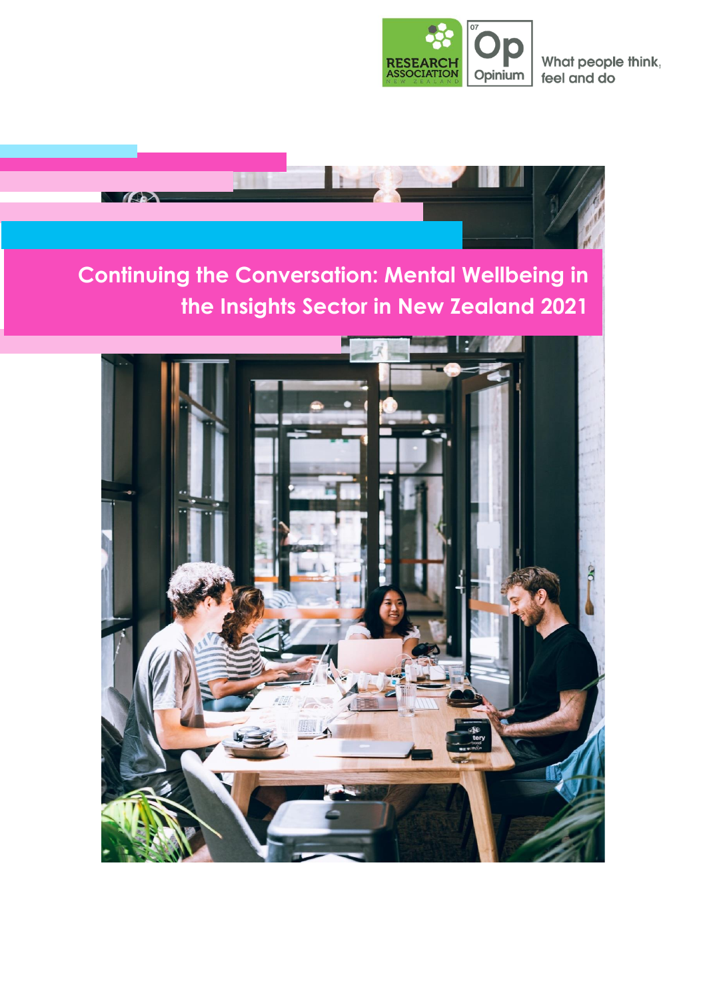

What people think, feel and do

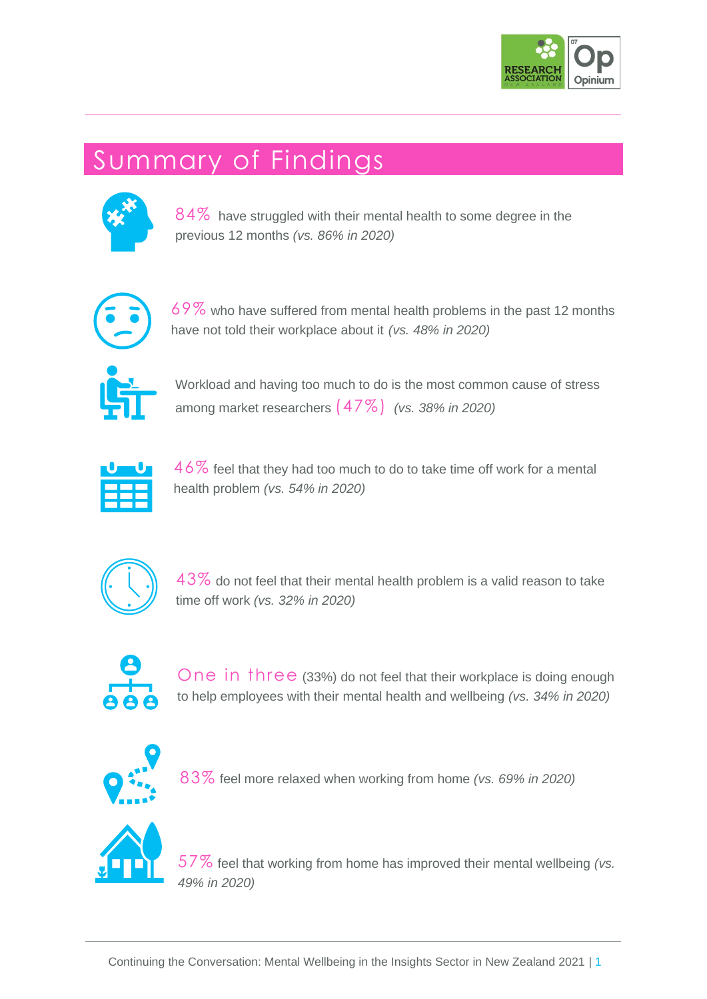

## Summary of Findings



84% have struggled with their mental health to some degree in the previous 12 months *(vs. 86% in 2020)*



69% who have suffered from mental health problems in the past 12 months have not told their workplace about it *(vs. 48% in 2020)*



Workload and having too much to do is the most common cause of stress among market researchers (47%) *(vs. 38% in 2020)*



46% feel that they had too much to do to take time off work for a mental health problem *(vs. 54% in 2020)*



 $43\%$  do not feel that their mental health problem is a valid reason to take time off work *(vs. 32% in 2020)*



One in three (33%) do not feel that their workplace is doing enough to help employees with their mental health and wellbeing *(vs. 34% in 2020)*



83% feel more relaxed when working from home *(vs. 69% in 2020)*



57% feel that working from home has improved their mental wellbeing *(vs. 49% in 2020)*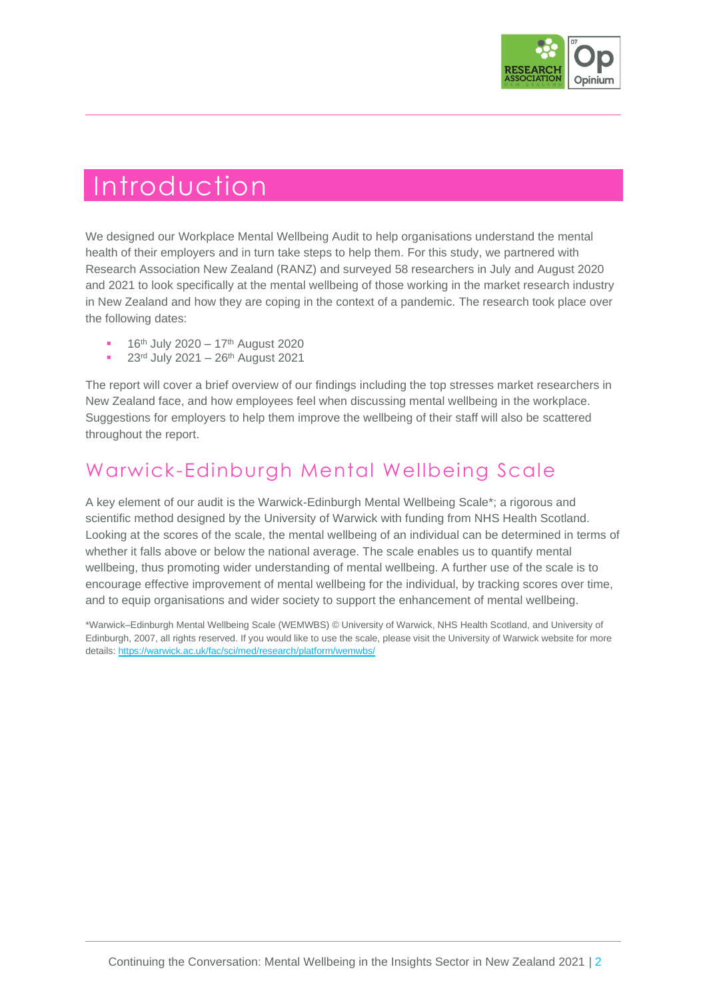

### Introduction

We designed our Workplace Mental Wellbeing Audit to help organisations understand the mental health of their employers and in turn take steps to help them. For this study, we partnered with Research Association New Zealand (RANZ) and surveyed 58 researchers in July and August 2020 and 2021 to look specifically at the mental wellbeing of those working in the market research industry in New Zealand and how they are coping in the context of a pandemic. The research took place over the following dates:

- 16<sup>th</sup> July 2020 17<sup>th</sup> August 2020
- 23rd July 2021 26th August 2021

The report will cover a brief overview of our findings including the top stresses market researchers in New Zealand face, and how employees feel when discussing mental wellbeing in the workplace. Suggestions for employers to help them improve the wellbeing of their staff will also be scattered throughout the report.

### Warwick-Edinburgh Mental Wellbeing Scale

A key element of our audit is the Warwick-Edinburgh Mental Wellbeing Scale\*; a rigorous and scientific method designed by the University of Warwick with funding from NHS Health Scotland. Looking at the scores of the scale, the mental wellbeing of an individual can be determined in terms of whether it falls above or below the national average. The scale enables us to quantify mental wellbeing, thus promoting wider understanding of mental wellbeing. A further use of the scale is to encourage effective improvement of mental wellbeing for the individual, by tracking scores over time, and to equip organisations and wider society to support the enhancement of mental wellbeing.

\*Warwick–Edinburgh Mental Wellbeing Scale (WEMWBS) © University of Warwick, NHS Health Scotland, and University of Edinburgh, 2007, all rights reserved. If you would like to use the scale, please visit the University of Warwick website for more details[: https://warwick.ac.uk/fac/sci/med/research/platform/wemwbs/](https://warwick.ac.uk/fac/sci/med/research/platform/wemwbs/)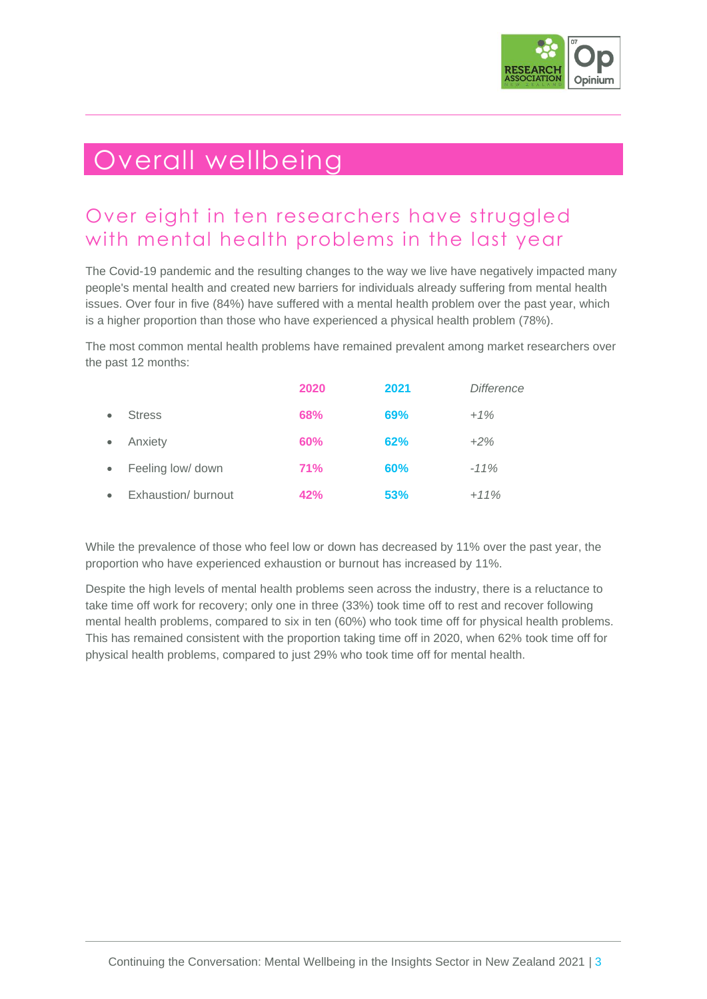

## Overall wellbeing

### Over eight in ten researchers have struggled with mental health problems in the last year

The Covid-19 pandemic and the resulting changes to the way we live have negatively impacted many people's mental health and created new barriers for individuals already suffering from mental health issues. Over four in five (84%) have suffered with a mental health problem over the past year, which is a higher proportion than those who have experienced a physical health problem (78%).

The most common mental health problems have remained prevalent among market researchers over the past 12 months:

|           |                     | 2020       | 2021 | <b>Difference</b> |
|-----------|---------------------|------------|------|-------------------|
|           | <b>Stress</b>       | 68%        | 69%  | $+1%$             |
| $\bullet$ | Anxiety             | 60%        | 62%  | $+2\%$            |
| $\bullet$ | Feeling low/ down   | <b>71%</b> | 60%  | $-11%$            |
|           | Exhaustion/ burnout | 42%        | 53%  | $+11%$            |

While the prevalence of those who feel low or down has decreased by 11% over the past year, the proportion who have experienced exhaustion or burnout has increased by 11%.

Despite the high levels of mental health problems seen across the industry, there is a reluctance to take time off work for recovery; only one in three (33%) took time off to rest and recover following mental health problems, compared to six in ten (60%) who took time off for physical health problems. This has remained consistent with the proportion taking time off in 2020, when 62% took time off for physical health problems, compared to just 29% who took time off for mental health.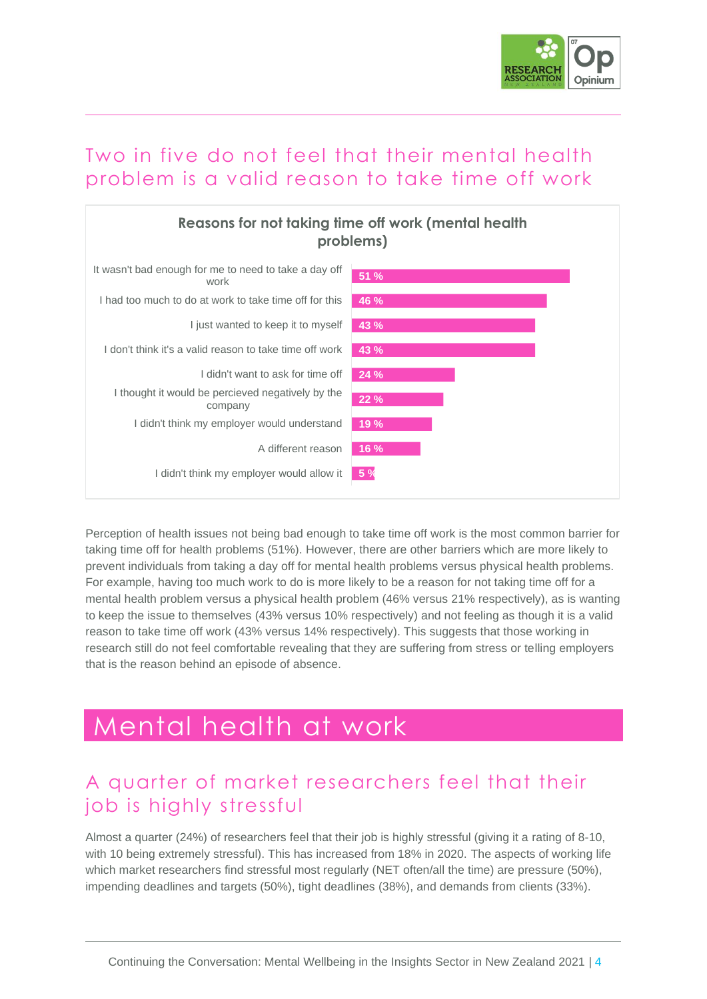

#### Two in five do not feel that their mental health problem is a valid reason to take time off work



Perception of health issues not being bad enough to take time off work is the most common barrier for taking time off for health problems (51%). However, there are other barriers which are more likely to prevent individuals from taking a day off for mental health problems versus physical health problems. For example, having too much work to do is more likely to be a reason for not taking time off for a mental health problem versus a physical health problem (46% versus 21% respectively), as is wanting to keep the issue to themselves (43% versus 10% respectively) and not feeling as though it is a valid reason to take time off work (43% versus 14% respectively). This suggests that those working in research still do not feel comfortable revealing that they are suffering from stress or telling employers that is the reason behind an episode of absence.

### Mental health at work

#### A quarter of market researchers feel that their job is highly stressful

Almost a quarter (24%) of researchers feel that their job is highly stressful (giving it a rating of 8-10, with 10 being extremely stressful). This has increased from 18% in 2020. The aspects of working life which market researchers find stressful most regularly (NET often/all the time) are pressure (50%), impending deadlines and targets (50%), tight deadlines (38%), and demands from clients (33%).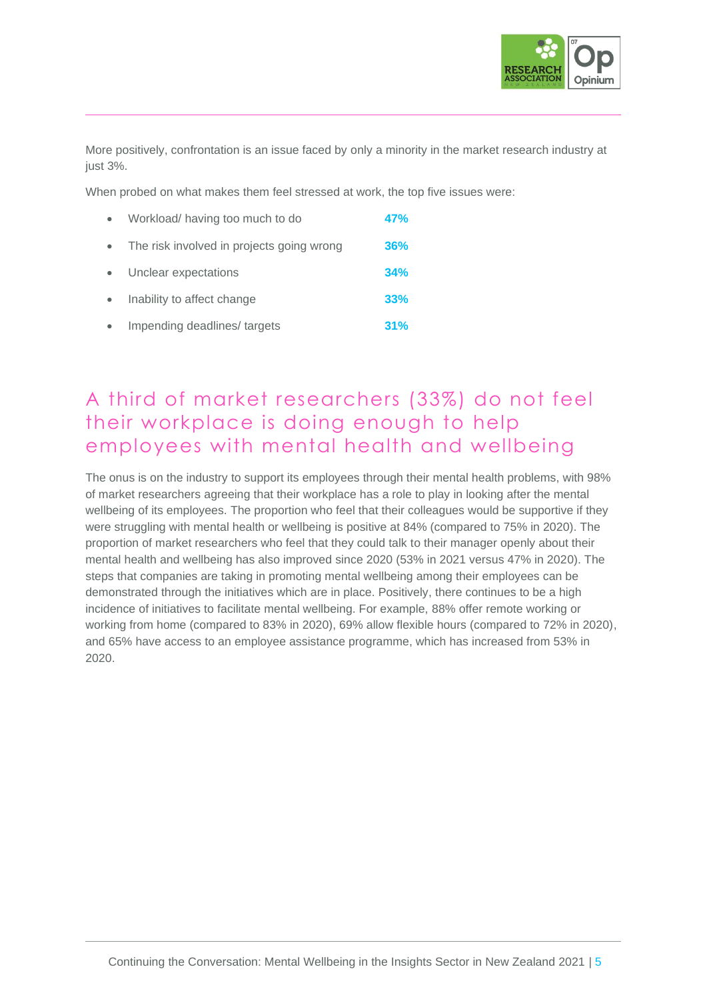

More positively, confrontation is an issue faced by only a minority in the market research industry at just 3%.

When probed on what makes them feel stressed at work, the top five issues were:

| $\bullet$ | Workload/having too much to do            | <b>47%</b> |
|-----------|-------------------------------------------|------------|
| $\bullet$ | The risk involved in projects going wrong | <b>36%</b> |
| $\bullet$ | Unclear expectations                      | 34%        |
| $\bullet$ | Inability to affect change                | 33%        |
| $\bullet$ | Impending deadlines/targets               | 31%        |

#### A third of market researchers (33%) do not feel their workplace is doing enough to help employees with mental health and wellbeing

The onus is on the industry to support its employees through their mental health problems, with 98% of market researchers agreeing that their workplace has a role to play in looking after the mental wellbeing of its employees. The proportion who feel that their colleagues would be supportive if they were struggling with mental health or wellbeing is positive at 84% (compared to 75% in 2020). The proportion of market researchers who feel that they could talk to their manager openly about their mental health and wellbeing has also improved since 2020 (53% in 2021 versus 47% in 2020). The steps that companies are taking in promoting mental wellbeing among their employees can be demonstrated through the initiatives which are in place. Positively, there continues to be a high incidence of initiatives to facilitate mental wellbeing. For example, 88% offer remote working or working from home (compared to 83% in 2020), 69% allow flexible hours (compared to 72% in 2020), and 65% have access to an employee assistance programme, which has increased from 53% in 2020.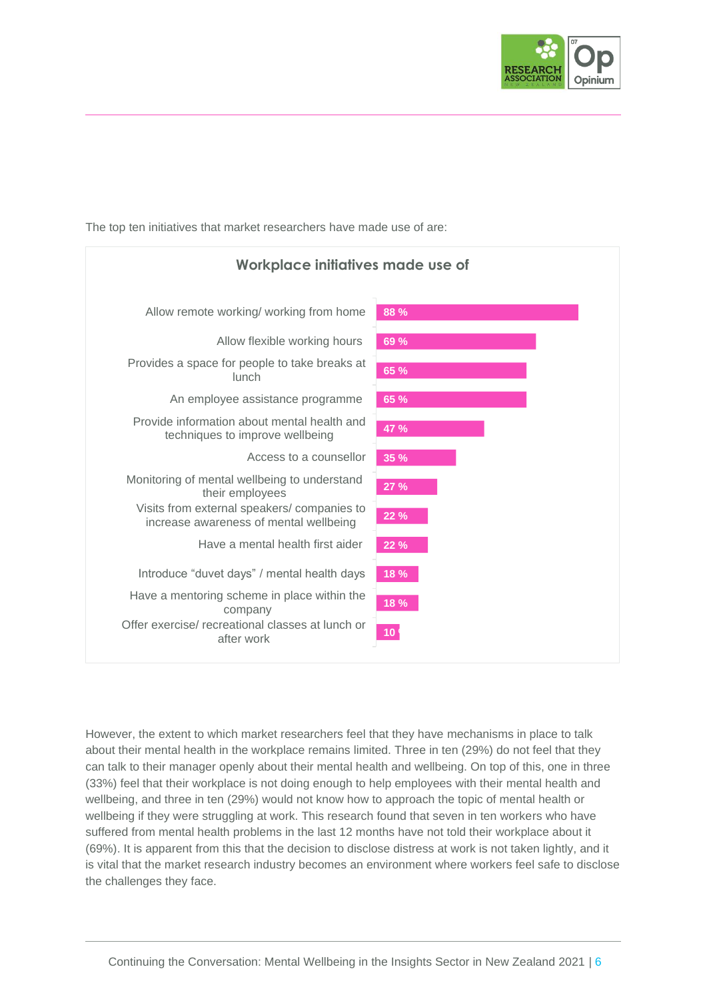

The top ten initiatives that market researchers have made use of are:



However, the extent to which market researchers feel that they have mechanisms in place to talk about their mental health in the workplace remains limited. Three in ten (29%) do not feel that they can talk to their manager openly about their mental health and wellbeing. On top of this, one in three (33%) feel that their workplace is not doing enough to help employees with their mental health and wellbeing, and three in ten (29%) would not know how to approach the topic of mental health or wellbeing if they were struggling at work. This research found that seven in ten workers who have suffered from mental health problems in the last 12 months have not told their workplace about it (69%). It is apparent from this that the decision to disclose distress at work is not taken lightly, and it is vital that the market research industry becomes an environment where workers feel safe to disclose the challenges they face.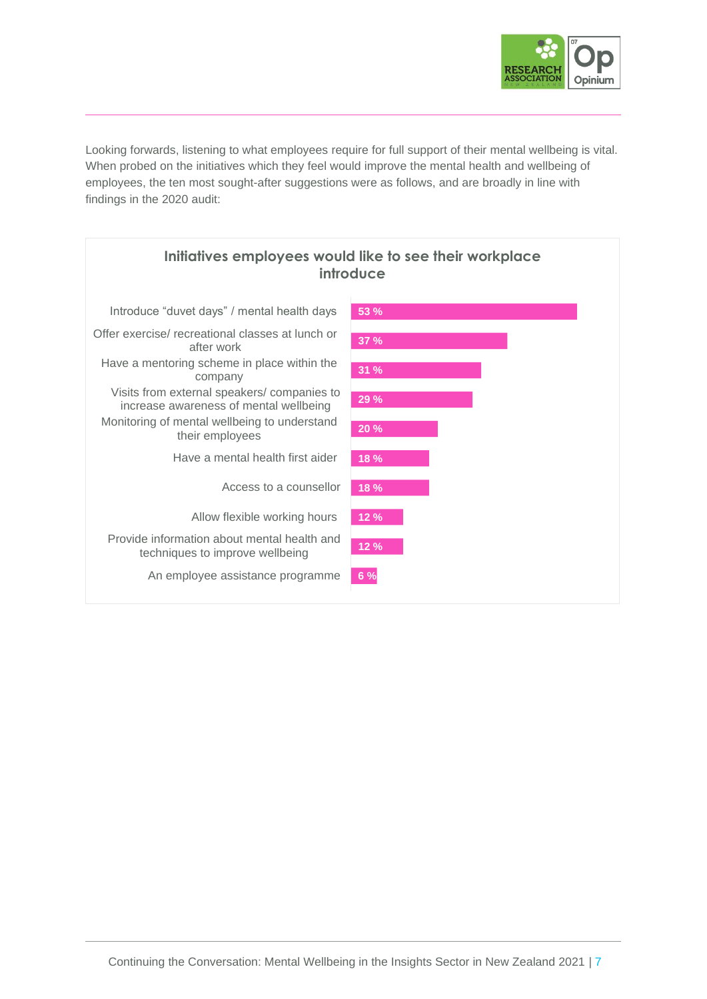

Looking forwards, listening to what employees require for full support of their mental wellbeing is vital. When probed on the initiatives which they feel would improve the mental health and wellbeing of employees, the ten most sought-after suggestions were as follows, and are broadly in line with findings in the 2020 audit:

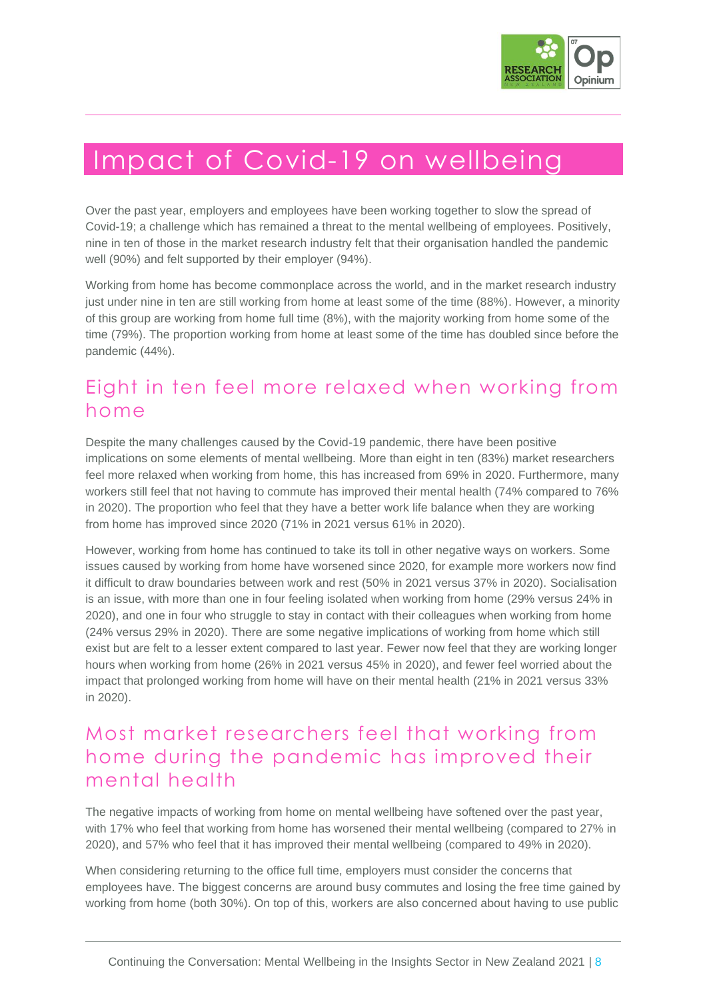

## Impact of Covid-19 on wellbeing

Over the past year, employers and employees have been working together to slow the spread of Covid-19; a challenge which has remained a threat to the mental wellbeing of employees. Positively, nine in ten of those in the market research industry felt that their organisation handled the pandemic well (90%) and felt supported by their employer (94%).

Working from home has become commonplace across the world, and in the market research industry just under nine in ten are still working from home at least some of the time (88%). However, a minority of this group are working from home full time (8%), with the majority working from home some of the time (79%). The proportion working from home at least some of the time has doubled since before the pandemic (44%).

#### Eight in ten feel more relaxed when working from home

Despite the many challenges caused by the Covid-19 pandemic, there have been positive implications on some elements of mental wellbeing. More than eight in ten (83%) market researchers feel more relaxed when working from home, this has increased from 69% in 2020. Furthermore, many workers still feel that not having to commute has improved their mental health (74% compared to 76% in 2020). The proportion who feel that they have a better work life balance when they are working from home has improved since 2020 (71% in 2021 versus 61% in 2020).

However, working from home has continued to take its toll in other negative ways on workers. Some issues caused by working from home have worsened since 2020, for example more workers now find it difficult to draw boundaries between work and rest (50% in 2021 versus 37% in 2020). Socialisation is an issue, with more than one in four feeling isolated when working from home (29% versus 24% in 2020), and one in four who struggle to stay in contact with their colleagues when working from home (24% versus 29% in 2020). There are some negative implications of working from home which still exist but are felt to a lesser extent compared to last year. Fewer now feel that they are working longer hours when working from home (26% in 2021 versus 45% in 2020), and fewer feel worried about the impact that prolonged working from home will have on their mental health (21% in 2021 versus 33% in 2020).

#### Most market researchers feel that working from home during the pandemic has improved their mental health

The negative impacts of working from home on mental wellbeing have softened over the past year, with 17% who feel that working from home has worsened their mental wellbeing (compared to 27% in 2020), and 57% who feel that it has improved their mental wellbeing (compared to 49% in 2020).

When considering returning to the office full time, employers must consider the concerns that employees have. The biggest concerns are around busy commutes and losing the free time gained by working from home (both 30%). On top of this, workers are also concerned about having to use public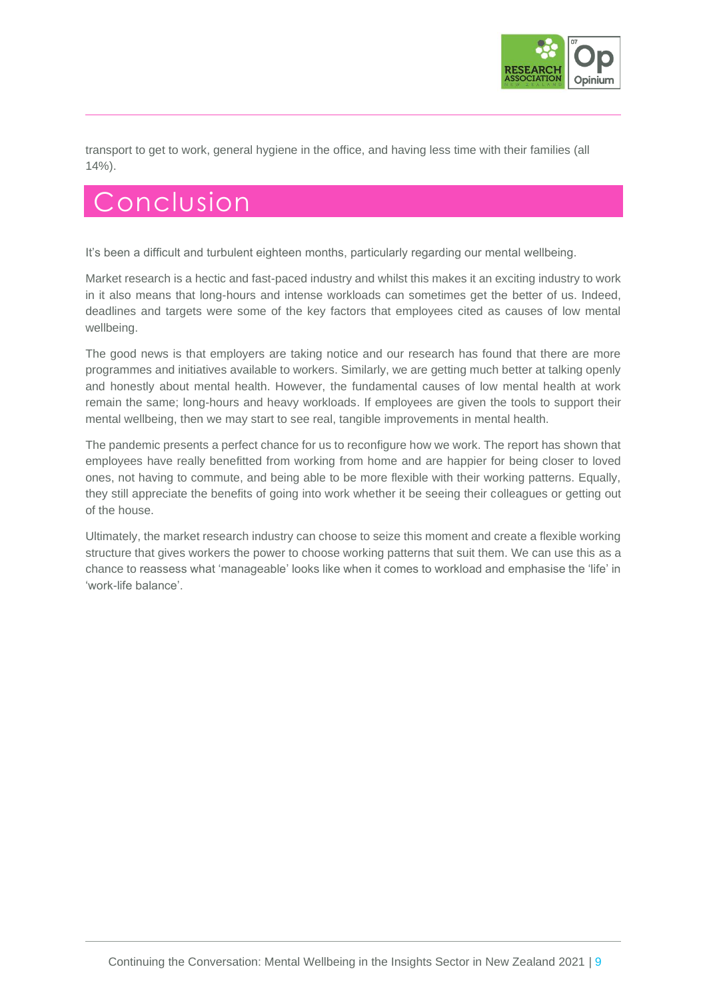

transport to get to work, general hygiene in the office, and having less time with their families (all 14%).

### **Conclusion**

It's been a difficult and turbulent eighteen months, particularly regarding our mental wellbeing.

Market research is a hectic and fast-paced industry and whilst this makes it an exciting industry to work in it also means that long-hours and intense workloads can sometimes get the better of us. Indeed, deadlines and targets were some of the key factors that employees cited as causes of low mental wellbeing.

The good news is that employers are taking notice and our research has found that there are more programmes and initiatives available to workers. Similarly, we are getting much better at talking openly and honestly about mental health. However, the fundamental causes of low mental health at work remain the same; long-hours and heavy workloads. If employees are given the tools to support their mental wellbeing, then we may start to see real, tangible improvements in mental health.

The pandemic presents a perfect chance for us to reconfigure how we work. The report has shown that employees have really benefitted from working from home and are happier for being closer to loved ones, not having to commute, and being able to be more flexible with their working patterns. Equally, they still appreciate the benefits of going into work whether it be seeing their colleagues or getting out of the house.

Ultimately, the market research industry can choose to seize this moment and create a flexible working structure that gives workers the power to choose working patterns that suit them. We can use this as a chance to reassess what 'manageable' looks like when it comes to workload and emphasise the 'life' in 'work-life balance'.